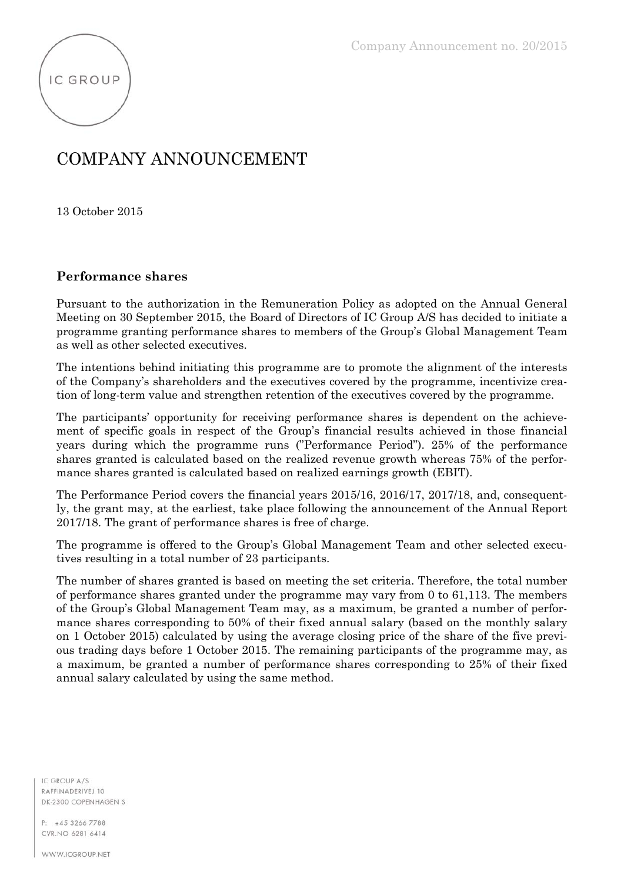

## COMPANY ANNOUNCEMENT

13 October 2015

## **Performance shares**

Pursuant to the authorization in the Remuneration Policy as adopted on the Annual General Meeting on 30 September 2015, the Board of Directors of IC Group A/S has decided to initiate a programme granting performance shares to members of the Group's Global Management Team as well as other selected executives.

The intentions behind initiating this programme are to promote the alignment of the interests of the Company's shareholders and the executives covered by the programme, incentivize creation of long-term value and strengthen retention of the executives covered by the programme.

The participants' opportunity for receiving performance shares is dependent on the achievement of specific goals in respect of the Group's financial results achieved in those financial years during which the programme runs ("Performance Period"). 25% of the performance shares granted is calculated based on the realized revenue growth whereas 75% of the performance shares granted is calculated based on realized earnings growth (EBIT).

The Performance Period covers the financial years 2015/16, 2016/17, 2017/18, and, consequently, the grant may, at the earliest, take place following the announcement of the Annual Report 2017/18. The grant of performance shares is free of charge.

The programme is offered to the Group's Global Management Team and other selected executives resulting in a total number of 23 participants.

The number of shares granted is based on meeting the set criteria. Therefore, the total number of performance shares granted under the programme may vary from 0 to 61,113. The members of the Group's Global Management Team may, as a maximum, be granted a number of performance shares corresponding to 50% of their fixed annual salary (based on the monthly salary on 1 October 2015) calculated by using the average closing price of the share of the five previous trading days before 1 October 2015. The remaining participants of the programme may, as a maximum, be granted a number of performance shares corresponding to 25% of their fixed annual salary calculated by using the same method.

IC GROUP A/S RAFFINADERIVEL 10 DK-2300 COPENHAGEN S

+45 3266 7788 p. CVR.NO 6281 6414

WWW.ICGROUP.NET